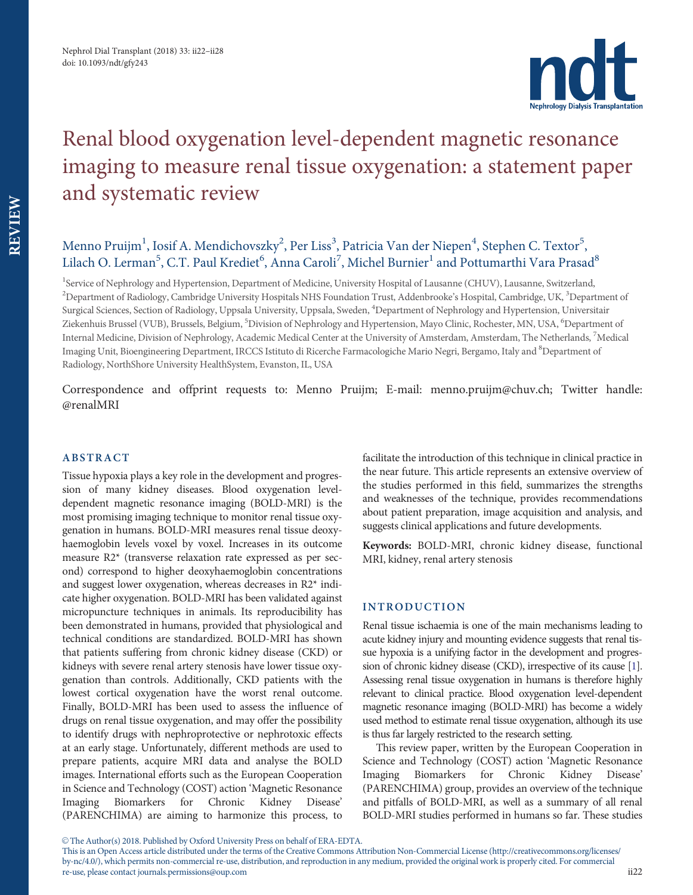

# <span id="page-0-0"></span>Renal blood oxygenation level-dependent magnetic resonance imaging to measure renal tissue oxygenation: a statement paper and systematic review

## Menno Pruijm $^1$ , Iosif A. Mendichovszky $^2$ , Per Liss $^3$ , Patricia Van der Niepen $^4$ , Stephen C. Textor $^5$ , Lilach O. Lerman<sup>5</sup>, C.T. Paul Krediet<sup>6</sup>, Anna Caroli<sup>7</sup>, Michel Burnier<sup>1</sup> and Pottumarthi Vara Prasad<sup>8</sup>

<sup>1</sup>Service of Nephrology and Hypertension, Department of Medicine, University Hospital of Lausanne (CHUV), Lausanne, Switzerland, <sup>2</sup>Department of Radiology, Cambridge University Hospitals NHS Foundation Trust, Addenbrooke's Hospital, Cambridge, UK, <sup>3</sup>Department of Surgical Sciences, Section of Radiology, Uppsala University, Uppsala, Sweden, <sup>4</sup>Department of Nephrology and Hypertension, Universitair Ziekenhuis Brussel (VUB), Brussels, Belgium, <sup>5</sup>Division of Nephrology and Hypertension, Mayo Clinic, Rochester, MN, USA, <sup>6</sup>Department of Internal Medicine, Division of Nephrology, Academic Medical Center at the University of Amsterdam, Amsterdam, The Netherlands, <sup>7</sup>Medical Imaging Unit, Bioengineering Department, IRCCS Istituto di Ricerche Farmacologiche Mario Negri, Bergamo, Italy and <sup>8</sup>Department of Radiology, NorthShore University HealthSystem, Evanston, IL, USA

Correspondence and offprint requests to: Menno Pruijm; E-mail: menno.pruijm@chuv.ch; Twitter handle: @renalMRI

## ABSTRACT

Tissue hypoxia plays a key role in the development and progression of many kidney diseases. Blood oxygenation leveldependent magnetic resonance imaging (BOLD-MRI) is the most promising imaging technique to monitor renal tissue oxygenation in humans. BOLD-MRI measures renal tissue deoxyhaemoglobin levels voxel by voxel. Increases in its outcome measure R2\* (transverse relaxation rate expressed as per second) correspond to higher deoxyhaemoglobin concentrations and suggest lower oxygenation, whereas decreases in R2\* indicate higher oxygenation. BOLD-MRI has been validated against micropuncture techniques in animals. Its reproducibility has been demonstrated in humans, provided that physiological and technical conditions are standardized. BOLD-MRI has shown that patients suffering from chronic kidney disease (CKD) or kidneys with severe renal artery stenosis have lower tissue oxygenation than controls. Additionally, CKD patients with the lowest cortical oxygenation have the worst renal outcome. Finally, BOLD-MRI has been used to assess the influence of drugs on renal tissue oxygenation, and may offer the possibility to identify drugs with nephroprotective or nephrotoxic effects at an early stage. Unfortunately, different methods are used to prepare patients, acquire MRI data and analyse the BOLD images. International efforts such as the European Cooperation in Science and Technology (COST) action 'Magnetic Resonance Imaging Biomarkers for Chronic Kidney Disease' (PARENCHIMA) are aiming to harmonize this process, to

facilitate the introduction of this technique in clinical practice in the near future. This article represents an extensive overview of the studies performed in this field, summarizes the strengths and weaknesses of the technique, provides recommendations about patient preparation, image acquisition and analysis, and suggests clinical applications and future developments.

Keywords: BOLD-MRI, chronic kidney disease, functional MRI, kidney, renal artery stenosis

## INTRODUCTION

Renal tissue ischaemia is one of the main mechanisms leading to acute kidney injury and mounting evidence suggests that renal tissue hypoxia is a unifying factor in the development and progression of chronic kidney disease (CKD), irrespective of its cause [\[1\]](#page-5-0). Assessing renal tissue oxygenation in humans is therefore highly relevant to clinical practice. Blood oxygenation level-dependent magnetic resonance imaging (BOLD-MRI) has become a widely used method to estimate renal tissue oxygenation, although its use is thus far largely restricted to the research setting.

This review paper, written by the European Cooperation in Science and Technology (COST) action 'Magnetic Resonance Imaging Biomarkers for Chronic Kidney Disease' (PARENCHIMA) group, provides an overview of the technique and pitfalls of BOLD-MRI, as well as a summary of all renal BOLD-MRI studies performed in humans so far. These studies

This is an Open Access article distributed under the terms of the Creative Commons Attribution Non-Commercial License (http://creativecommons.org/licenses/ by-nc/4.0/), which permits non-commercial re-use, distribution, and reproduction in any medium, provided the original work is properly cited. For commercial re-use, please contact journals.permissions@oup.com ii22

<sup>©</sup> The Author(s) 2018. Published by Oxford University Press on behalf of ERA-EDTA.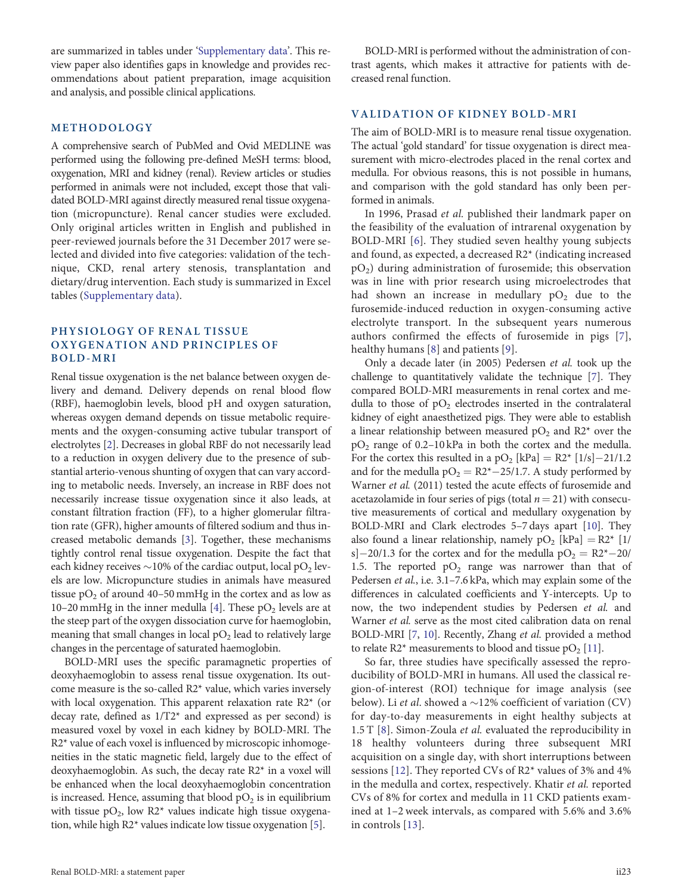<span id="page-1-0"></span>are summarized in tables under ['Supplementary data](https://academic.oup.com/ndt/article-lookup/doi/10.1093/ndt/gfy243#supplementary-data)'. This review paper also identifies gaps in knowledge and provides recommendations about patient preparation, image acquisition and analysis, and possible clinical applications.

#### METHODOLOGY

A comprehensive search of PubMed and Ovid MEDLINE was performed using the following pre-defined MeSH terms: blood, oxygenation, MRI and kidney (renal). Review articles or studies performed in animals were not included, except those that validated BOLD-MRI against directly measured renal tissue oxygenation (micropuncture). Renal cancer studies were excluded. Only original articles written in English and published in peer-reviewed journals before the 31 December 2017 were selected and divided into five categories: validation of the technique, CKD, renal artery stenosis, transplantation and dietary/drug intervention. Each study is summarized in Excel tables ([Supplementary data](https://academic.oup.com/ndt/article-lookup/doi/10.1093/ndt/gfy243#supplementary-data)).

## PHYSIOLOGY OF RENAL TISSUE OXYGENATION AND PRINCIPLES OF BOLD-MRI

Renal tissue oxygenation is the net balance between oxygen delivery and demand. Delivery depends on renal blood flow (RBF), haemoglobin levels, blood pH and oxygen saturation, whereas oxygen demand depends on tissue metabolic requirements and the oxygen-consuming active tubular transport of electrolytes [\[2](#page-5-0)]. Decreases in global RBF do not necessarily lead to a reduction in oxygen delivery due to the presence of substantial arterio-venous shunting of oxygen that can vary according to metabolic needs. Inversely, an increase in RBF does not necessarily increase tissue oxygenation since it also leads, at constant filtration fraction (FF), to a higher glomerular filtration rate (GFR), higher amounts of filtered sodium and thus increased metabolic demands [[3](#page-5-0)]. Together, these mechanisms tightly control renal tissue oxygenation. Despite the fact that each kidney receives  $\sim$ 10% of the cardiac output, local pO<sub>2</sub> levels are low. Micropuncture studies in animals have measured tissue  $pO_2$  of around 40–50 mmHg in the cortex and as low as 10–20 mmHg in the inner medulla [[4](#page-5-0)]. These  $pO<sub>2</sub>$  levels are at the steep part of the oxygen dissociation curve for haemoglobin, meaning that small changes in local  $pO<sub>2</sub>$  lead to relatively large changes in the percentage of saturated haemoglobin.

BOLD-MRI uses the specific paramagnetic properties of deoxyhaemoglobin to assess renal tissue oxygenation. Its outcome measure is the so-called R2\* value, which varies inversely with local oxygenation. This apparent relaxation rate R2\* (or decay rate, defined as 1/T2\* and expressed as per second) is measured voxel by voxel in each kidney by BOLD-MRI. The R2\* value of each voxel is influenced by microscopic inhomogeneities in the static magnetic field, largely due to the effect of deoxyhaemoglobin. As such, the decay rate R2\* in a voxel will be enhanced when the local deoxyhaemoglobin concentration is increased. Hence, assuming that blood  $pO<sub>2</sub>$  is in equilibrium with tissue  $pO_2$ , low  $R2^*$  values indicate high tissue oxygenation, while high R2\* values indicate low tissue oxygenation [\[5\]](#page-5-0).

BOLD-MRI is performed without the administration of contrast agents, which makes it attractive for patients with decreased renal function.

#### VALIDATION OF KIDNEY BOLD-MRI

The aim of BOLD-MRI is to measure renal tissue oxygenation. The actual 'gold standard' for tissue oxygenation is direct measurement with micro-electrodes placed in the renal cortex and medulla. For obvious reasons, this is not possible in humans, and comparison with the gold standard has only been performed in animals.

In 1996, Prasad et al. published their landmark paper on the feasibility of the evaluation of intrarenal oxygenation by BOLD-MRI [[6\]](#page-5-0). They studied seven healthy young subjects and found, as expected, a decreased R2\* (indicating increased pO2) during administration of furosemide; this observation was in line with prior research using microelectrodes that had shown an increase in medullary  $pO<sub>2</sub>$  due to the furosemide-induced reduction in oxygen-consuming active electrolyte transport. In the subsequent years numerous authors confirmed the effects of furosemide in pigs [\[7](#page-5-0)], healthy humans [[8\]](#page-5-0) and patients [[9\]](#page-5-0).

Only a decade later (in 2005) Pedersen et al. took up the challenge to quantitatively validate the technique [[7\]](#page-5-0). They compared BOLD-MRI measurements in renal cortex and medulla to those of  $pO<sub>2</sub>$  electrodes inserted in the contralateral kidney of eight anaesthetized pigs. They were able to establish a linear relationship between measured  $pO<sub>2</sub>$  and  $R2*$  over the pO2 range of 0.2–10 kPa in both the cortex and the medulla. For the cortex this resulted in a  $pO_2$  [kPa] = R2\* [1/s]-21/1.2 and for the medulla  $pO_2 = R2^* - 25/1.7$ . A study performed by Warner et al. (2011) tested the acute effects of furosemide and acetazolamide in four series of pigs (total  $n = 21$ ) with consecutive measurements of cortical and medullary oxygenation by BOLD-MRI and Clark electrodes 5–7 days apart [\[10\]](#page-5-0). They also found a linear relationship, namely  $pO_2$  [kPa] = R2\* [1/ s] $-20/1.3$  for the cortex and for the medulla pO<sub>2</sub> = R2\* $-20/$ 1.5. The reported  $pO_2$  range was narrower than that of Pedersen et al., i.e. 3.1-7.6 kPa, which may explain some of the differences in calculated coefficients and Y-intercepts. Up to now, the two independent studies by Pedersen et al. and Warner et al. serve as the most cited calibration data on renal BOLD-MRI [\[7,](#page-5-0) [10\]](#page-5-0). Recently, Zhang et al. provided a method to relate  $R2^*$  measurements to blood and tissue pO<sub>2</sub> [\[11](#page-5-0)].

So far, three studies have specifically assessed the reproducibility of BOLD-MRI in humans. All used the classical region-of-interest (ROI) technique for image analysis (see below). Li *et al*. showed a  $\sim$ 12% coefficient of variation (CV) for day-to-day measurements in eight healthy subjects at 1.5 T [[8\]](#page-5-0). Simon-Zoula et al. evaluated the reproducibility in 18 healthy volunteers during three subsequent MRI acquisition on a single day, with short interruptions between sessions [[12\]](#page-5-0). They reported CVs of R2\* values of 3% and 4% in the medulla and cortex, respectively. Khatir et al. reported CVs of 8% for cortex and medulla in 11 CKD patients examined at 1–2 week intervals, as compared with 5.6% and 3.6% in controls [[13](#page-6-0)].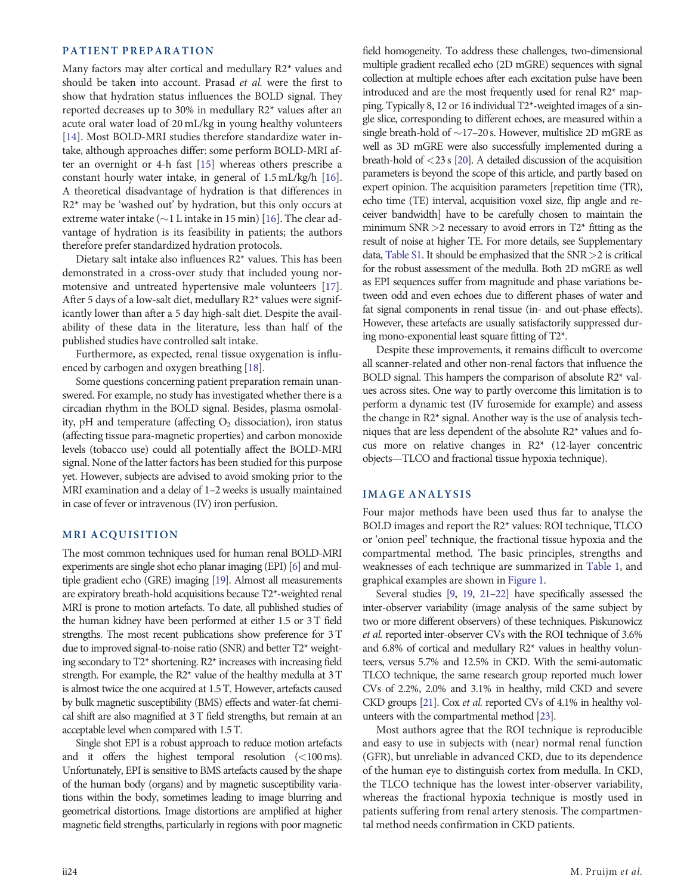#### <span id="page-2-0"></span>PATIENT PREPARATION

Many factors may alter cortical and medullary R2\* values and should be taken into account. Prasad et al. were the first to show that hydration status influences the BOLD signal. They reported decreases up to 30% in medullary R2\* values after an acute oral water load of 20 mL/kg in young healthy volunteers [\[14\]](#page-6-0). Most BOLD-MRI studies therefore standardize water intake, although approaches differ: some perform BOLD-MRI after an overnight or 4-h fast [\[15\]](#page-6-0) whereas others prescribe a constant hourly water intake, in general of 1.5 mL/kg/h [[16\]](#page-6-0). A theoretical disadvantage of hydration is that differences in  $R2*$  may be 'washed out' by hydration, but this only occurs at extreme water intake ( $\sim$ 1 L intake in 15 min) [[16](#page-6-0)]. The clear advantage of hydration is its feasibility in patients; the authors therefore prefer standardized hydration protocols.

Dietary salt intake also influences R2\* values. This has been demonstrated in a cross-over study that included young normotensive and untreated hypertensive male volunteers [[17\]](#page-6-0). After 5 days of a low-salt diet, medullary R2\* values were significantly lower than after a 5 day high-salt diet. Despite the availability of these data in the literature, less than half of the published studies have controlled salt intake.

Furthermore, as expected, renal tissue oxygenation is influenced by carbogen and oxygen breathing [\[18\]](#page-6-0).

Some questions concerning patient preparation remain unanswered. For example, no study has investigated whether there is a circadian rhythm in the BOLD signal. Besides, plasma osmolality, pH and temperature (affecting  $O_2$  dissociation), iron status (affecting tissue para-magnetic properties) and carbon monoxide levels (tobacco use) could all potentially affect the BOLD-MRI signal. None of the latter factors has been studied for this purpose yet. However, subjects are advised to avoid smoking prior to the MRI examination and a delay of 1–2 weeks is usually maintained in case of fever or intravenous (IV) iron perfusion.

#### MRI ACQUISITION

The most common techniques used for human renal BOLD-MRI experiments are single shot echo planar imaging (EPI) [\[6\]](#page-5-0) and multiple gradient echo (GRE) imaging [\[19](#page-6-0)]. Almost all measurements are expiratory breath-hold acquisitions because T2\*-weighted renal MRI is prone to motion artefacts. To date, all published studies of the human kidney have been performed at either 1.5 or 3 T field strengths. The most recent publications show preference for 3 T due to improved signal-to-noise ratio (SNR) and better T2\* weighting secondary to T2\* shortening. R2\* increases with increasing field strength. For example, the R2\* value of the healthy medulla at 3 T is almost twice the one acquired at 1.5 T. However, artefacts caused by bulk magnetic susceptibility (BMS) effects and water-fat chemical shift are also magnified at 3 T field strengths, but remain at an acceptable level when compared with 1.5 T.

Single shot EPI is a robust approach to reduce motion artefacts and it offers the highest temporal resolution (<100ms). Unfortunately, EPI is sensitive to BMS artefacts caused by the shape of the human body (organs) and by magnetic susceptibility variations within the body, sometimes leading to image blurring and geometrical distortions. Image distortions are amplified at higher magnetic field strengths, particularly in regions with poor magnetic field homogeneity. To address these challenges, two-dimensional multiple gradient recalled echo (2D mGRE) sequences with signal collection at multiple echoes after each excitation pulse have been introduced and are the most frequently used for renal R2\* mapping. Typically 8, 12 or 16 individual T2\*-weighted images of a single slice, corresponding to different echoes, are measured within a single breath-hold of  $\sim$ 17–20 s. However, multislice 2D mGRE as well as 3D mGRE were also successfully implemented during a breath-hold of <23 s [[20\]](#page-6-0). A detailed discussion of the acquisition parameters is beyond the scope of this article, and partly based on expert opinion. The acquisition parameters [repetition time (TR), echo time (TE) interval, acquisition voxel size, flip angle and receiver bandwidth] have to be carefully chosen to maintain the minimum  $SNR > 2$  necessary to avoid errors in  $T2^*$  fitting as the result of noise at higher TE. For more details, see Supplementary data, [Table S1.](https://academic.oup.com/ndt/article-lookup/doi/10.1093/ndt/gfy243#supplementary-data) It should be emphasized that the  $SNR > 2$  is critical for the robust assessment of the medulla. Both 2D mGRE as well as EPI sequences suffer from magnitude and phase variations between odd and even echoes due to different phases of water and fat signal components in renal tissue (in- and out-phase effects). However, these artefacts are usually satisfactorily suppressed during mono-exponential least square fitting of T2\*.

Despite these improvements, it remains difficult to overcome all scanner-related and other non-renal factors that influence the BOLD signal. This hampers the comparison of absolute R2\* values across sites. One way to partly overcome this limitation is to perform a dynamic test (IV furosemide for example) and assess the change in R2\* signal. Another way is the use of analysis techniques that are less dependent of the absolute R2\* values and focus more on relative changes in R2\* (12-layer concentric objects—TLCO and fractional tissue hypoxia technique).

## IMAGE ANALYSIS

Four major methods have been used thus far to analyse the BOLD images and report the R2\* values: ROI technique, TLCO or 'onion peel' technique, the fractional tissue hypoxia and the compartmental method. The basic principles, strengths and weaknesses of each technique are summarized in [Table 1,](#page-3-0) and graphical examples are shown in [Figure 1.](#page-3-0)

Several studies [[9](#page-5-0), [19,](#page-6-0) [21–22](#page-6-0)] have specifically assessed the inter-observer variability (image analysis of the same subject by two or more different observers) of these techniques. Piskunowicz et al. reported inter-observer CVs with the ROI technique of 3.6% and 6.8% of cortical and medullary R2\* values in healthy volunteers, versus 5.7% and 12.5% in CKD. With the semi-automatic TLCO technique, the same research group reported much lower CVs of 2.2%, 2.0% and 3.1% in healthy, mild CKD and severe CKD groups [\[21](#page-6-0)]. Cox et al. reported CVs of 4.1% in healthy volunteers with the compartmental method [\[23](#page-6-0)].

Most authors agree that the ROI technique is reproducible and easy to use in subjects with (near) normal renal function (GFR), but unreliable in advanced CKD, due to its dependence of the human eye to distinguish cortex from medulla. In CKD, the TLCO technique has the lowest inter-observer variability, whereas the fractional hypoxia technique is mostly used in patients suffering from renal artery stenosis. The compartmental method needs confirmation in CKD patients.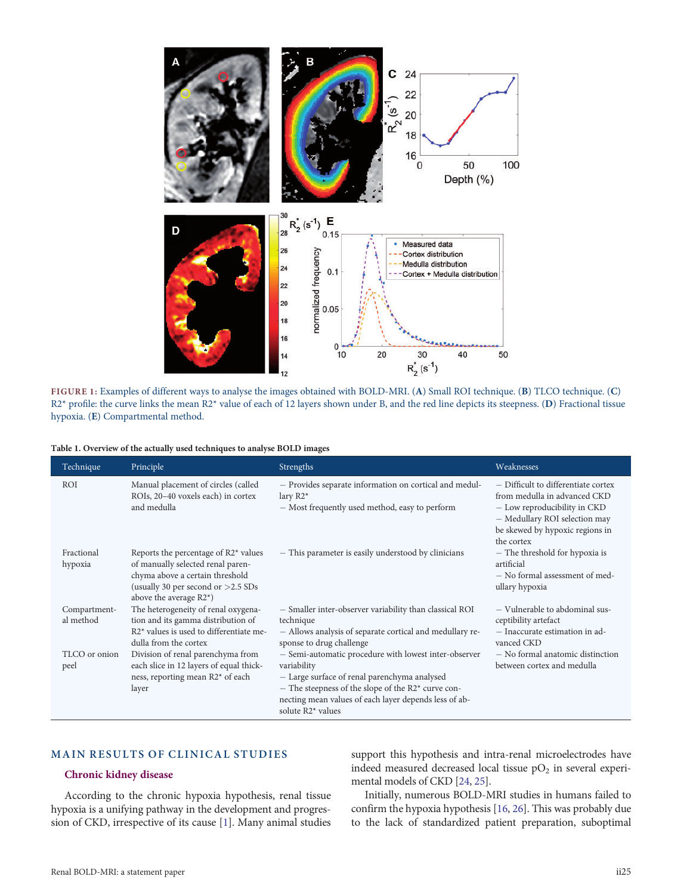<span id="page-3-0"></span>

FIGURE 1: Examples of different ways to analyse the images obtained with BOLD-MRI. (A) Small ROI technique. (B) TLCO technique. (C) R2\* profile: the curve links the mean R2\* value of each of 12 layers shown under B, and the red line depicts its steepness. (D) Fractional tissue hypoxia. (E) Compartmental method.

| Technique                 | Principle                                                                                                                                                                             | Strengths                                                                                                                                                                                                                                                  | Weaknesses                                                                                                                                                                            |
|---------------------------|---------------------------------------------------------------------------------------------------------------------------------------------------------------------------------------|------------------------------------------------------------------------------------------------------------------------------------------------------------------------------------------------------------------------------------------------------------|---------------------------------------------------------------------------------------------------------------------------------------------------------------------------------------|
| <b>ROI</b>                | Manual placement of circles (called<br>ROIs, 20-40 voxels each) in cortex<br>and medulla                                                                                              | - Provides separate information on cortical and medul-<br>lary $R2^*$<br>- Most frequently used method, easy to perform                                                                                                                                    | - Difficult to differentiate cortex<br>from medulla in advanced CKD<br>- Low reproducibility in CKD<br>- Medullary ROI selection may<br>be skewed by hypoxic regions in<br>the cortex |
| Fractional<br>hypoxia     | Reports the percentage of $R2^*$ values<br>of manually selected renal paren-<br>chyma above a certain threshold<br>(usually 30 per second or $>2.5$ SDs<br>above the average $R2^*$ ) | - This parameter is easily understood by clinicians                                                                                                                                                                                                        | - The threshold for hypoxia is<br>artificial<br>- No formal assessment of med-<br>ullary hypoxia                                                                                      |
| Compartment-<br>al method | The heterogeneity of renal oxygena-<br>tion and its gamma distribution of<br>R <sub>2</sub> <sup>*</sup> values is used to differentiate me-<br>dulla from the cortex                 | - Smaller inter-observer variability than classical ROI<br>technique<br>- Allows analysis of separate cortical and medullary re-<br>sponse to drug challenge                                                                                               | - Vulnerable to abdominal sus-<br>ceptibility artefact<br>- Inaccurate estimation in ad-<br>vanced CKD                                                                                |
| TLCO or onion<br>peel     | Division of renal parenchyma from<br>each slice in 12 layers of equal thick-<br>ness, reporting mean R2* of each<br>layer                                                             | - Semi-automatic procedure with lowest inter-observer<br>variability<br>- Large surface of renal parenchyma analysed<br>- The steepness of the slope of the $R2*$ curve con-<br>necting mean values of each layer depends less of ab-<br>solute R2* values | - No formal anatomic distinction<br>between cortex and medulla                                                                                                                        |

## MAIN RESULTS OF CLINICAL STUDIES

#### Chronic kidney disease

According to the chronic hypoxia hypothesis, renal tissue hypoxia is a unifying pathway in the development and progression of CKD, irrespective of its cause [\[1\]](#page-5-0). Many animal studies support this hypothesis and intra-renal microelectrodes have indeed measured decreased local tissue  $pO<sub>2</sub>$  in several experimental models of CKD [[24](#page-6-0), [25\]](#page-6-0).

Initially, numerous BOLD-MRI studies in humans failed to confirm the hypoxia hypothesis [\[16,](#page-6-0) [26\]](#page-6-0). This was probably due to the lack of standardized patient preparation, suboptimal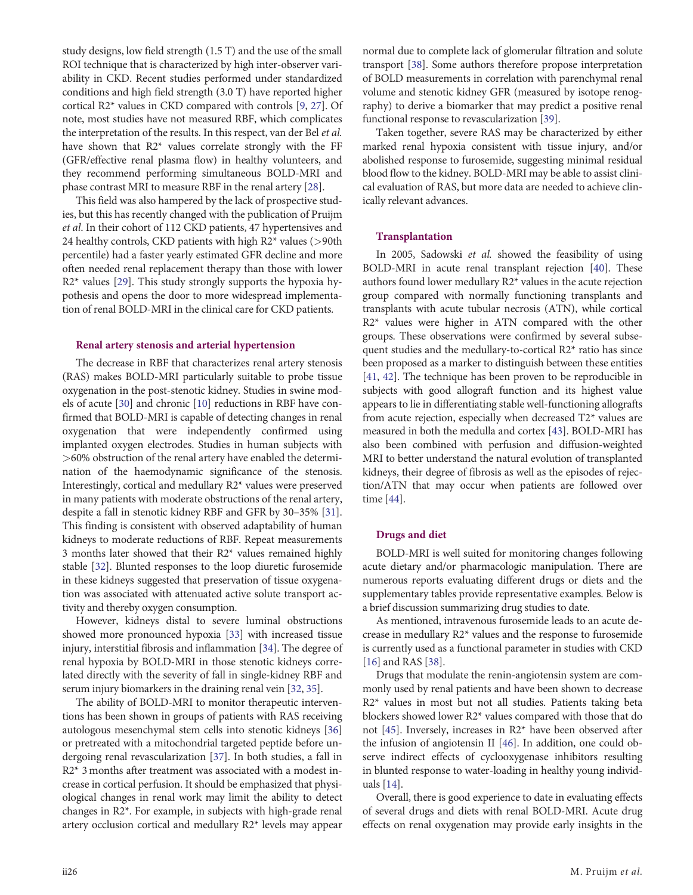<span id="page-4-0"></span>study designs, low field strength (1.5 T) and the use of the small ROI technique that is characterized by high inter-observer variability in CKD. Recent studies performed under standardized conditions and high field strength (3.0 T) have reported higher cortical R2\* values in CKD compared with controls [\[9,](#page-5-0) [27](#page-6-0)]. Of note, most studies have not measured RBF, which complicates the interpretation of the results. In this respect, van der Bel et al. have shown that R2\* values correlate strongly with the FF (GFR/effective renal plasma flow) in healthy volunteers, and they recommend performing simultaneous BOLD-MRI and phase contrast MRI to measure RBF in the renal artery [\[28](#page-6-0)].

This field was also hampered by the lack of prospective studies, but this has recently changed with the publication of Pruijm et al. In their cohort of 112 CKD patients, 47 hypertensives and 24 healthy controls, CKD patients with high  $R2*$  values (>90th percentile) had a faster yearly estimated GFR decline and more often needed renal replacement therapy than those with lower R2\* values [[29\]](#page-6-0). This study strongly supports the hypoxia hypothesis and opens the door to more widespread implementation of renal BOLD-MRI in the clinical care for CKD patients.

#### Renal artery stenosis and arterial hypertension

The decrease in RBF that characterizes renal artery stenosis (RAS) makes BOLD-MRI particularly suitable to probe tissue oxygenation in the post-stenotic kidney. Studies in swine models of acute [\[30](#page-6-0)] and chronic [[10](#page-5-0)] reductions in RBF have confirmed that BOLD-MRI is capable of detecting changes in renal oxygenation that were independently confirmed using implanted oxygen electrodes. Studies in human subjects with >60% obstruction of the renal artery have enabled the determination of the haemodynamic significance of the stenosis. Interestingly, cortical and medullary R2\* values were preserved in many patients with moderate obstructions of the renal artery, despite a fall in stenotic kidney RBF and GFR by 30–35% [[31\]](#page-6-0). This finding is consistent with observed adaptability of human kidneys to moderate reductions of RBF. Repeat measurements 3 months later showed that their R2\* values remained highly stable [\[32](#page-6-0)]. Blunted responses to the loop diuretic furosemide in these kidneys suggested that preservation of tissue oxygenation was associated with attenuated active solute transport activity and thereby oxygen consumption.

However, kidneys distal to severe luminal obstructions showed more pronounced hypoxia [[33\]](#page-6-0) with increased tissue injury, interstitial fibrosis and inflammation [\[34](#page-6-0)]. The degree of renal hypoxia by BOLD-MRI in those stenotic kidneys correlated directly with the severity of fall in single-kidney RBF and serum injury biomarkers in the draining renal vein [\[32](#page-6-0), [35](#page-6-0)].

The ability of BOLD-MRI to monitor therapeutic interventions has been shown in groups of patients with RAS receiving autologous mesenchymal stem cells into stenotic kidneys [[36](#page-6-0)] or pretreated with a mitochondrial targeted peptide before undergoing renal revascularization [[37\]](#page-6-0). In both studies, a fall in R2\* 3 months after treatment was associated with a modest increase in cortical perfusion. It should be emphasized that physiological changes in renal work may limit the ability to detect changes in R2\*. For example, in subjects with high-grade renal artery occlusion cortical and medullary R2\* levels may appear normal due to complete lack of glomerular filtration and solute transport [[38\]](#page-6-0). Some authors therefore propose interpretation of BOLD measurements in correlation with parenchymal renal volume and stenotic kidney GFR (measured by isotope renography) to derive a biomarker that may predict a positive renal functional response to revascularization [\[39\]](#page-6-0).

Taken together, severe RAS may be characterized by either marked renal hypoxia consistent with tissue injury, and/or abolished response to furosemide, suggesting minimal residual blood flow to the kidney. BOLD-MRI may be able to assist clinical evaluation of RAS, but more data are needed to achieve clinically relevant advances.

## Transplantation

In 2005, Sadowski et al. showed the feasibility of using BOLD-MRI in acute renal transplant rejection [[40](#page-6-0)]. These authors found lower medullary R2\* values in the acute rejection group compared with normally functioning transplants and transplants with acute tubular necrosis (ATN), while cortical R2\* values were higher in ATN compared with the other groups. These observations were confirmed by several subsequent studies and the medullary-to-cortical R2\* ratio has since been proposed as a marker to distinguish between these entities [[41](#page-6-0), [42\]](#page-6-0). The technique has been proven to be reproducible in subjects with good allograft function and its highest value appears to lie in differentiating stable well-functioning allografts from acute rejection, especially when decreased T2\* values are measured in both the medulla and cortex [[43](#page-6-0)]. BOLD-MRI has also been combined with perfusion and diffusion-weighted MRI to better understand the natural evolution of transplanted kidneys, their degree of fibrosis as well as the episodes of rejection/ATN that may occur when patients are followed over time [[44\]](#page-6-0).

#### Drugs and diet

BOLD-MRI is well suited for monitoring changes following acute dietary and/or pharmacologic manipulation. There are numerous reports evaluating different drugs or diets and the supplementary tables provide representative examples. Below is a brief discussion summarizing drug studies to date.

As mentioned, intravenous furosemide leads to an acute decrease in medullary R2\* values and the response to furosemide is currently used as a functional parameter in studies with CKD [[16](#page-6-0)] and RAS [[38\]](#page-6-0).

Drugs that modulate the renin-angiotensin system are commonly used by renal patients and have been shown to decrease R2\* values in most but not all studies. Patients taking beta blockers showed lower R2\* values compared with those that do not [[45\]](#page-6-0). Inversely, increases in R2\* have been observed after the infusion of angiotensin II [\[46](#page-6-0)]. In addition, one could observe indirect effects of cyclooxygenase inhibitors resulting in blunted response to water-loading in healthy young individuals [\[14\]](#page-6-0).

Overall, there is good experience to date in evaluating effects of several drugs and diets with renal BOLD-MRI. Acute drug effects on renal oxygenation may provide early insights in the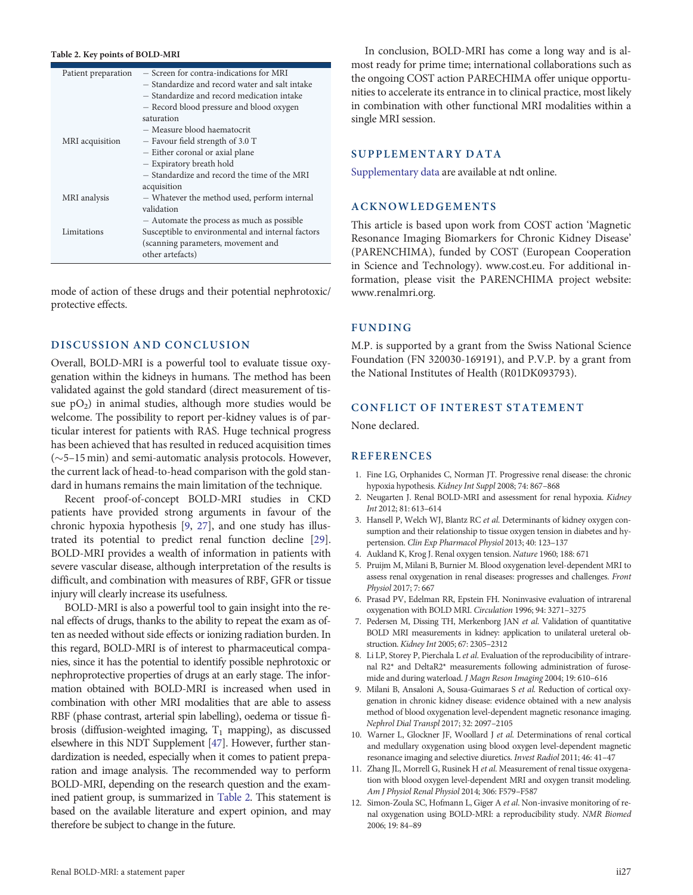#### <span id="page-5-0"></span>Table 2. Key points of BOLD-MRI

| Patient preparation | - Screen for contra-indications for MRI           |  |
|---------------------|---------------------------------------------------|--|
|                     | - Standardize and record water and salt intake    |  |
|                     | - Standardize and record medication intake        |  |
|                     | - Record blood pressure and blood oxygen          |  |
|                     | saturation                                        |  |
|                     | - Measure blood haematocrit                       |  |
| MRI acquisition     | - Favour field strength of 3.0 T                  |  |
|                     | - Either coronal or axial plane                   |  |
|                     | - Expiratory breath hold                          |  |
|                     | - Standardize and record the time of the MRI      |  |
|                     | acquisition                                       |  |
| MRI analysis        | - Whatever the method used, perform internal      |  |
|                     | validation                                        |  |
|                     | - Automate the process as much as possible        |  |
| Limitations         | Susceptible to environmental and internal factors |  |
|                     | (scanning parameters, movement and                |  |
|                     | other artefacts)                                  |  |

mode of action of these drugs and their potential nephrotoxic/ protective effects.

## DISCUSSION AND CONCLUSION

Overall, BOLD-MRI is a powerful tool to evaluate tissue oxygenation within the kidneys in humans. The method has been validated against the gold standard (direct measurement of tissue  $pO_2$ ) in animal studies, although more studies would be welcome. The possibility to report per-kidney values is of particular interest for patients with RAS. Huge technical progress has been achieved that has resulted in reduced acquisition times  $(\sim$  5–15 min) and semi-automatic analysis protocols. However, the current lack of head-to-head comparison with the gold standard in humans remains the main limitation of the technique.

Recent proof-of-concept BOLD-MRI studies in CKD patients have provided strong arguments in favour of the chronic hypoxia hypothesis [9, [27\]](#page-6-0), and one study has illustrated its potential to predict renal function decline [[29\]](#page-6-0). BOLD-MRI provides a wealth of information in patients with severe vascular disease, although interpretation of the results is difficult, and combination with measures of RBF, GFR or tissue injury will clearly increase its usefulness.

BOLD-MRI is also a powerful tool to gain insight into the renal effects of drugs, thanks to the ability to repeat the exam as often as needed without side effects or ionizing radiation burden. In this regard, BOLD-MRI is of interest to pharmaceutical companies, since it has the potential to identify possible nephrotoxic or nephroprotective properties of drugs at an early stage. The information obtained with BOLD-MRI is increased when used in combination with other MRI modalities that are able to assess RBF (phase contrast, arterial spin labelling), oedema or tissue fibrosis (diffusion-weighted imaging,  $T_1$  mapping), as discussed elsewhere in this NDT Supplement [\[47](#page-6-0)]. However, further standardization is needed, especially when it comes to patient preparation and image analysis. The recommended way to perform BOLD-MRI, depending on the research question and the examined patient group, is summarized in Table 2. This statement is based on the available literature and expert opinion, and may therefore be subject to change in the future.

In conclusion, BOLD-MRI has come a long way and is almost ready for prime time; international collaborations such as the ongoing COST action PARECHIMA offer unique opportunities to accelerate its entrance in to clinical practice, most likely in combination with other functional MRI modalities within a single MRI session.

## SUPPLEMENTARY DATA

[Supplementary data](https://academic.oup.com/ndt/article-lookup/doi/10.1093/ndt/gfy243#supplementary-data) are available at ndt online.

## ACKNOWLEDGEMENTS

This article is based upon work from COST action 'Magnetic Resonance Imaging Biomarkers for Chronic Kidney Disease' (PARENCHIMA), funded by COST (European Cooperation in Science and Technology). [www.cost.eu](http://www.cost.eu). For additional information, please visit the PARENCHIMA project website: [www.renalmri.org.](http://www.renalmri.org)

#### FUNDING

M.P. is supported by a grant from the Swiss National Science Foundation (FN 320030-169191), and P.V.P. by a grant from the National Institutes of Health (R01DK093793).

## CONFLICT OF INTEREST STATEMENT

None declared.

### **REFERENCES**

- [1.](#page-0-0) Fine LG, Orphanides C, Norman JT. Progressive renal disease: the chronic hypoxia hypothesis. Kidney Int Suppl 2008; 74: 867–868
- [2.](#page-1-0) Neugarten J. Renal BOLD-MRI and assessment for renal hypoxia. Kidney Int 2012; 81: 613–614
- [3.](#page-1-0) Hansell P, Welch WJ, Blantz RC et al. Determinants of kidney oxygen consumption and their relationship to tissue oxygen tension in diabetes and hypertension. Clin Exp Pharmacol Physiol 2013; 40: 123–137
- [4.](#page-1-0) Aukland K, Krog J. Renal oxygen tension. Nature 1960; 188: 671
- [5.](#page-1-0) Pruijm M, Milani B, Burnier M. Blood oxygenation level-dependent MRI to assess renal oxygenation in renal diseases: progresses and challenges. Front Physiol 2017; 7: 667
- [6.](#page-1-0) Prasad PV, Edelman RR, Epstein FH. Noninvasive evaluation of intrarenal oxygenation with BOLD MRI. Circulation 1996; 94: 3271–3275
- [7.](#page-1-0) Pedersen M, Dissing TH, Merkenborg JAN et al. Validation of quantitative BOLD MRI measurements in kidney: application to unilateral ureteral obstruction. Kidney Int 2005; 67: 2305–2312
- [8.](#page-1-0) Li LP, Storey P, Pierchala L et al. Evaluation of the reproducibility of intrarenal R2\* and DeltaR2\* measurements following administration of furosemide and during waterload. J Magn Reson Imaging 2004; 19: 610–616
- [9.](#page-1-0) Milani B, Ansaloni A, Sousa-Guimaraes S et al. Reduction of cortical oxygenation in chronic kidney disease: evidence obtained with a new analysis method of blood oxygenation level-dependent magnetic resonance imaging. Nephrol Dial Transpl 2017; 32: 2097–2105
- [10.](#page-1-0) Warner L, Glockner JF, Woollard J et al. Determinations of renal cortical and medullary oxygenation using blood oxygen level-dependent magnetic resonance imaging and selective diuretics. Invest Radiol 2011; 46: 41–47
- [11.](#page-1-0) Zhang JL, Morrell G, Rusinek H et al. Measurement of renal tissue oxygenation with blood oxygen level-dependent MRI and oxygen transit modeling. Am J Physiol Renal Physiol 2014; 306: F579–F587
- [12.](#page-1-0) Simon-Zoula SC, Hofmann L, Giger A et al. Non-invasive monitoring of renal oxygenation using BOLD-MRI: a reproducibility study. NMR Biomed 2006; 19: 84–89